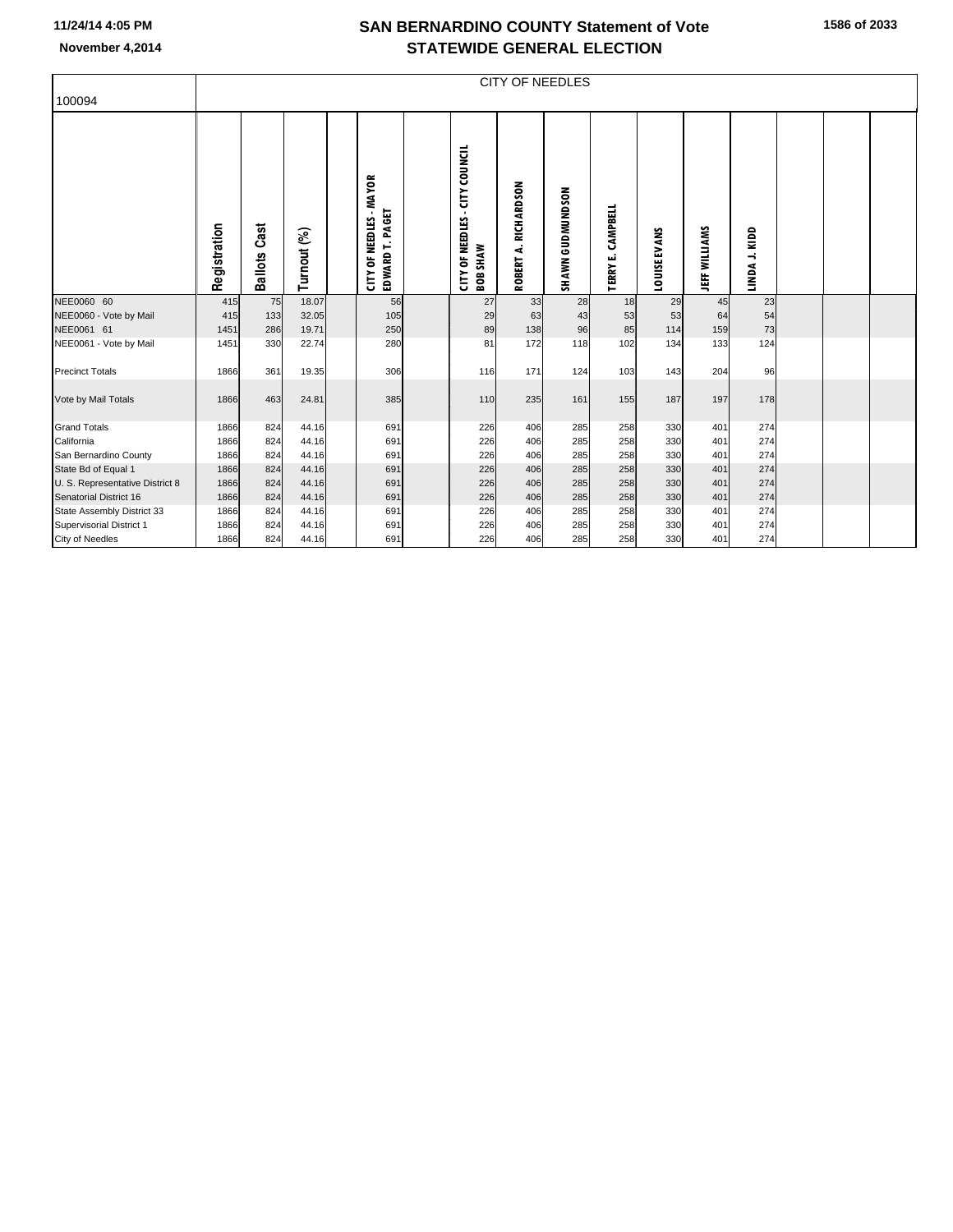## **SAN BERNARDINO COUNTY Statement of Vote November 4,2014 STATEWIDE GENERAL ELECTION**

| 100094                          |              | <b>CITY OF NEEDLES</b> |             |  |                                            |  |                                                             |                            |                  |                                |              |                      |                          |  |  |  |
|---------------------------------|--------------|------------------------|-------------|--|--------------------------------------------|--|-------------------------------------------------------------|----------------------------|------------------|--------------------------------|--------------|----------------------|--------------------------|--|--|--|
|                                 | Registration | Cast<br>Ballots        | Turnout (%) |  | CITY OF NEEDLES - MAYOR<br>EDWARD T. PAGET |  | - CITY COUNCIL<br><b>CITY OF NEEDLES</b><br><b>BOB SHAW</b> | RICHARDSON<br>નં<br>ROBERT | SHAWN GUDMUNDSON | CAMPBELL<br>шi<br><b>TERRY</b> | LOUISE EVANS | <b>JEFF WILLIAMS</b> | KIDD<br>$\div$<br>LINDA. |  |  |  |
| NEE0060 60                      | 415          | 75                     | 18.07       |  | 56                                         |  | 27                                                          | 33                         | 28               | 18                             | 29           | 45                   | 23                       |  |  |  |
| NEE0060 - Vote by Mail          | 415          | 133                    | 32.05       |  | 105                                        |  | 29                                                          | 63                         | 43               | 53                             | 53           | 64                   | 54                       |  |  |  |
| NEE0061 61                      | 1451         | 286                    | 19.71       |  | 250                                        |  | 89                                                          | 138                        | 96               | 85                             | 114          | 159                  | 73                       |  |  |  |
| NEE0061 - Vote by Mail          | 1451         | 330                    | 22.74       |  | 280                                        |  | 81                                                          | 172                        | 118              | 102                            | 134          | 133                  | 124                      |  |  |  |
| <b>Precinct Totals</b>          | 1866         | 361                    | 19.35       |  | 306                                        |  | 116                                                         | 171                        | 124              | 103                            | 143          | 204                  | 96                       |  |  |  |
|                                 |              |                        |             |  |                                            |  |                                                             |                            |                  |                                |              |                      |                          |  |  |  |
| Vote by Mail Totals             | 1866         | 463                    | 24.81       |  | 385                                        |  | 110                                                         | 235                        | 161              | 155                            | 187          | 197                  | 178                      |  |  |  |
|                                 |              |                        |             |  |                                            |  |                                                             |                            |                  |                                |              |                      |                          |  |  |  |
| <b>Grand Totals</b>             | 1866         | 824                    | 44.16       |  | 691                                        |  | 226                                                         | 406                        | 285              | 258                            | 330          | 401                  | 274                      |  |  |  |
| California                      | 1866         | 824                    | 44.16       |  | 691                                        |  | 226                                                         | 406                        | 285              | 258                            | 330          | 401                  | 274                      |  |  |  |
| San Bernardino County           | 1866         | 824                    | 44.16       |  | 691                                        |  | 226                                                         | 406                        | 285              | 258                            | 330          | 401                  | 274                      |  |  |  |
| State Bd of Equal 1             | 1866         | 824                    | 44.16       |  | 691                                        |  | 226                                                         | 406                        | 285              | 258                            | 330          | 401                  | 274                      |  |  |  |
| U. S. Representative District 8 | 1866         | 824                    | 44.16       |  | 691                                        |  | 226                                                         | 406                        | 285              | 258                            | 330          | 401                  | 274                      |  |  |  |
| Senatorial District 16          | 1866         | 824                    | 44.16       |  | 691                                        |  | 226                                                         | 406                        | 285              | 258                            | 330          | 401                  | 274                      |  |  |  |
| State Assembly District 33      | 1866         | 824                    | 44.16       |  | 691                                        |  | 226                                                         | 406                        | 285              | 258                            | 330          | 401                  | 274                      |  |  |  |
| Supervisorial District 1        | 1866         | 824                    | 44.16       |  | 691                                        |  | 226                                                         | 406                        | 285              | 258                            | 330          | 401                  | 274                      |  |  |  |
| <b>City of Needles</b>          | 1866         | 824                    | 44.16       |  | 691                                        |  | 226                                                         | 406                        | 285              | 258                            | 330          | 401                  | 274                      |  |  |  |